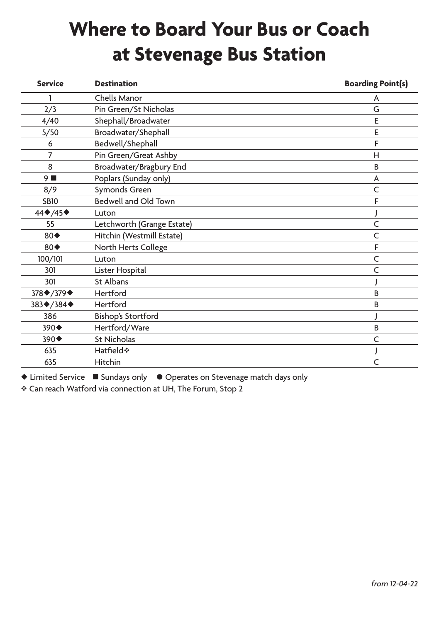## **Where to Board Your Bus or Coach at Stevenage Bus Station**

| <b>Service</b>     | <b>Destination</b>          | <b>Boarding Point(s)</b> |
|--------------------|-----------------------------|--------------------------|
|                    | Chells Manor                | A                        |
| 2/3                | Pin Green/St Nicholas       | G                        |
| 4/40               | Shephall/Broadwater         | E                        |
| 5/50               | Broadwater/Shephall         | F                        |
| 6                  | Bedwell/Shephall            | F                        |
| 7                  | Pin Green/Great Ashby       | H                        |
| 8                  | Broadwater/Bragbury End     | B                        |
| 9                  | Poplars (Sunday only)       | A                        |
| 8/9                | Symonds Green               | $\subset$                |
| <b>SB10</b>        | <b>Bedwell and Old Town</b> | F                        |
| 44◆/45◆            | Luton                       |                          |
| 55                 | Letchworth (Grange Estate)  | C                        |
| $80\blacklozenge$  | Hitchin (Westmill Estate)   | C                        |
| $80 \blacklozenge$ | North Herts College         | F                        |
| 100/101            | Luton                       | C                        |
| 301                | Lister Hospital             | $\subset$                |
| 301                | St Albans                   |                          |
| 378 * / 379 *      | Hertford                    | <sub>B</sub>             |
| 383♦/384♦          | Hertford                    | <sub>B</sub>             |
| 386                | <b>Bishop's Stortford</b>   |                          |
| 390◆               | Hertford/Ware               | B                        |
| 390◆               | <b>St Nicholas</b>          | C                        |
| 635                | Hatfield*                   |                          |
| 635                | <b>Hitchin</b>              | C                        |
|                    |                             |                          |

◆ Limited Service ■ Sundays only ● Operates on Stevenage match days only

\* Can reach Watford via connection at UH, The Forum, Stop 2